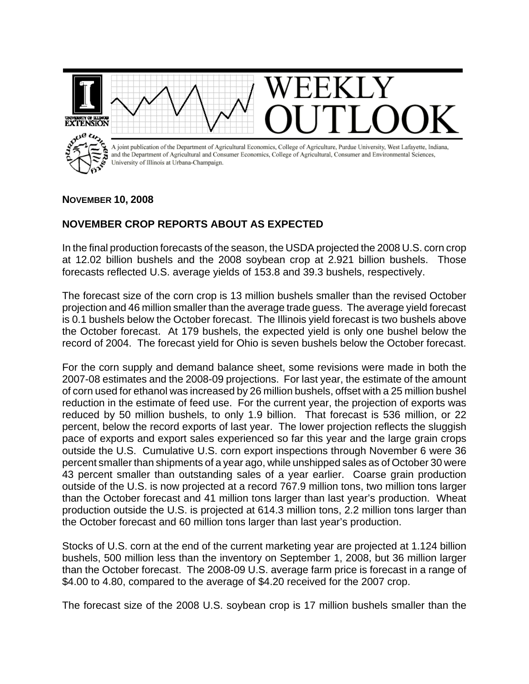

## **NOVEMBER 10, 2008**

## **NOVEMBER CROP REPORTS ABOUT AS EXPECTED**

In the final production forecasts of the season, the USDA projected the 2008 U.S. corn crop at 12.02 billion bushels and the 2008 soybean crop at 2.921 billion bushels. Those forecasts reflected U.S. average yields of 153.8 and 39.3 bushels, respectively.

The forecast size of the corn crop is 13 million bushels smaller than the revised October projection and 46 million smaller than the average trade guess. The average yield forecast is 0.1 bushels below the October forecast. The Illinois yield forecast is two bushels above the October forecast. At 179 bushels, the expected yield is only one bushel below the record of 2004. The forecast yield for Ohio is seven bushels below the October forecast.

For the corn supply and demand balance sheet, some revisions were made in both the 2007-08 estimates and the 2008-09 projections. For last year, the estimate of the amount of corn used for ethanol was increased by 26 million bushels, offset with a 25 million bushel reduction in the estimate of feed use. For the current year, the projection of exports was reduced by 50 million bushels, to only 1.9 billion. That forecast is 536 million, or 22 percent, below the record exports of last year. The lower projection reflects the sluggish pace of exports and export sales experienced so far this year and the large grain crops outside the U.S. Cumulative U.S. corn export inspections through November 6 were 36 percent smaller than shipments of a year ago, while unshipped sales as of October 30 were 43 percent smaller than outstanding sales of a year earlier. Coarse grain production outside of the U.S. is now projected at a record 767.9 million tons, two million tons larger than the October forecast and 41 million tons larger than last year's production. Wheat production outside the U.S. is projected at 614.3 million tons, 2.2 million tons larger than the October forecast and 60 million tons larger than last year's production.

Stocks of U.S. corn at the end of the current marketing year are projected at 1.124 billion bushels, 500 million less than the inventory on September 1, 2008, but 36 million larger than the October forecast. The 2008-09 U.S. average farm price is forecast in a range of \$4.00 to 4.80, compared to the average of \$4.20 received for the 2007 crop.

The forecast size of the 2008 U.S. soybean crop is 17 million bushels smaller than the